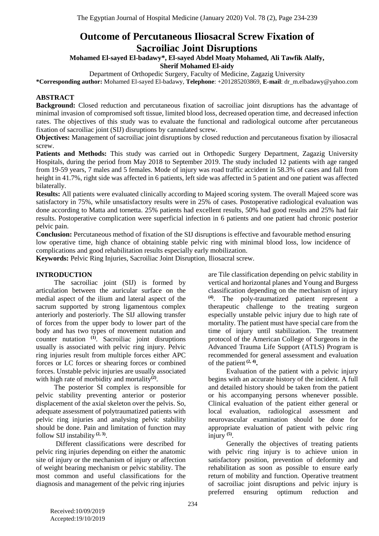# **Outcome of Percutaneous Iliosacral Screw Fixation of Sacroiliac Joint Disruptions**

# **Mohamed El-sayed El-badawy\*, El-sayed Abdel Moaty Mohamed, Ali Tawfik Alalfy, Sherif Mohamed El-aidy**

Department of Orthopedic Surgery, Faculty of Medicine, Zagazig University

**\*Corresponding author:** Mohamed El-sayed El-badawy, **Telephone**: +201285203869, **E-mail**: [dr\\_m.elbadawy@yahoo.com](mailto:dr.polanagy@gmail.com)

# **ABSTRACT**

**Background:** Closed reduction and percutaneous fixation of sacroiliac joint disruptions has the advantage of minimal invasion of compromised soft tissue, limited blood loss, decreased operation time, and decreased infection rates. The objectives of this study was to evaluate the functional and radiological outcome after percutaneous fixation of sacroiliac joint (SIJ) disruptions by cannulated screw.

**Objectives:** Management of sacroiliac joint disruptions by closed reduction and percutaneous fixation by iliosacral screw.

**Patients and Methods:** This study was carried out in Orthopedic Surgery Department, Zagazig University Hospitals, during the period from May 2018 to September 2019. The study included 12 patients with age ranged from 19-59 years, 7 males and 5 females. Mode of injury was road traffic accident in 58.3% of cases and fall from height in 41.7%, right side was affected in 6 patients, left side was affected in 5 patient and one patient was affected bilaterally.

**Results:** All patients were evaluated clinically according to Majeed scoring system. The overall Majeed score was satisfactory in 75%, while unsatisfactory results were in 25% of cases. Postoperative radiological evaluation was done according to Matta and tornetta. 25% patients had excellent results, 50% had good results and 25% had fair results. Postoperative complication were superficial infection in 6 patients and one patient had chronic posterior pelvic pain.

**Conclusion:** Percutaneous method of fixation of the SIJ disruptions is effective and favourable method ensuring low operative time, high chance of obtaining stable pelvic ring with minimal blood loss, low incidence of complications and good rehabilitation results especially early mobilization.

**Keywords:** Pelvic Ring Injuries, Sacroiliac Joint Disruption, Iliosacral screw.

# **INTRODUCTION**

The sacroiliac joint (SIJ) is formed by articulation between the auricular surface on the medial aspect of the ilium and lateral aspect of the sacrum supported by strong ligamentous complex anteriorly and posteriorly. The SIJ allowing transfer of forces from the upper body to lower part of the body and has two types of movement nutation and counter nutation **(1)** . Sacroiliac joint disruptions usually is associated with pelvic ring injury. Pelvic ring injuries result from multiple forces either APC forces or LC forces or shearing forces or combined forces. Unstable pelvic injuries are usually associated with high rate of morbidity and mortality<sup>(2)</sup>.

The posterior SI complex is responsible for pelvic stability preventing anterior or posterior displacement of the axial skeleton over the pelvis. So, adequate assessment of polytraumatized patients with pelvic ring injuries and analysing pelvic stability should be done. Pain and limitation of function may follow SIJ instability **(2, 3)** .

Different classifications were described for pelvic ring injuries depending on either the anatomic site of injury or the mechanism of injury or affection of weight bearing mechanism or pelvic stability. The most common and useful classifications for the diagnosis and management of the pelvic ring injuries

are Tile classification depending on pelvic stability in vertical and horizontal planes and Young and Burgess classification depending on the mechanism of injury **(4)** . The poly-traumatized patient represent a therapeutic challenge to the treating surgeon especially unstable pelvic injury due to high rate of mortality. The patient must have special care from the time of injury until stabilization. The treatment protocol of the American College of Surgeons in the Advanced Trauma Life Support (ATLS) Program is recommended for general assessment and evaluation of the patient **(2, 4) .**

Evaluation of the patient with a pelvic injury begins with an accurate history of the incident. A full and detailed history should be taken from the patient or his accompanying persons whenever possible. Clinical evaluation of the patient either general or local evaluation, radiological assessment and neurovascular examination should be done for appropriate evaluation of patient with pelvic ring injury **(5)** .

Generally the objectives of treating patients with pelvic ring injury is to achieve union in satisfactory position, prevention of deformity and rehabilitation as soon as possible to ensure early return of mobility and function. Operative treatment of sacroiliac joint disruptions and pelvic injury is preferred ensuring optimum reduction and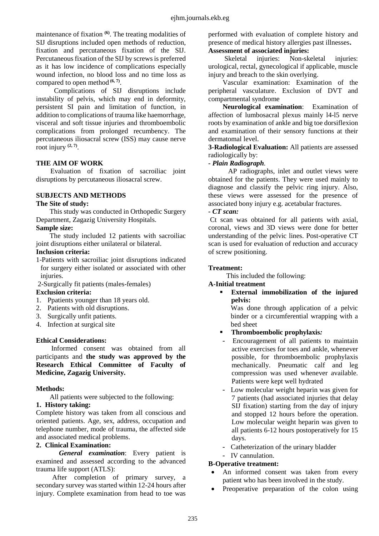maintenance of fixation <sup>(6)</sup>. The treating modalities of SIJ disruptions included open methods of reduction, fixation and percutaneous fixation of the SIJ. Percutaneous fixation of the SIJ by screws is preferred as it has low incidence of complications especially wound infection, no blood loss and no time loss as compared to open method **(6, 7)** .

Complications of SIJ disruptions include instability of pelvis, which may end in deformity, persistent SI pain and limitation of function, in addition to complications of trauma like haemorrhage, visceral and soft tissue injuries and thromboembolic complications from prolonged recumbency. The percutaneous iliosacral screw (ISS) may cause nerve root injury **(2, 7)** .

# **THE AIM OF WORK**

Evaluation of fixation of sacroiliac joint disruptions by percutaneous iliosacral screw.

# **SUBJECTS AND METHODS**

#### **The Site of study:**

This study was conducted in Orthopedic Surgery Department, Zagazig University Hospitals.

### **Sample size:**

The study included 12 patients with sacroiliac joint disruptions either unilateral or bilateral.

### **Inclusion criteria:**

- 1-Patients with sacroiliac joint disruptions indicated for surgery either isolated or associated with other injuries.
- 2-Surgically fit patients (males-females)

### **Exclusion criteria:**

- 1. Ppatients younger than 18 years old.
- 2. Patients with old disruptions.
- 3. Surgically unfit patients.
- 4. Infection at surgical site

### **Ethical Considerations:**

Informed consent was obtained from all participants and **the study was approved by the Research Ethical Committee of Faculty of Medicine, Zagazig University.**

### **Methods:**

All patients were subjected to the following:

### **1. History taking:**

Complete history was taken from all conscious and oriented patients. Age, sex, address, occupation and telephone number, mode of trauma, the affected side and associated medical problems.

#### **2. Clinical Examination:**

*General examination*: Every patient is examined and assessed according to the advanced trauma life support (ATLS):

After completion of primary survey, a secondary survey was started within 12-24 hours after injury. Complete examination from head to toe was

performed with evaluation of complete history and presence of medical history allergies past illnesses**.**

# **Assessment of associated injuries:**

Skeletal injuries: Non-skeletal injuries: urological, rectal, gynecological if applicable, muscle injury and breach to the skin overlying.

Vascular examination: Examination of the peripheral vasculature. Exclusion of DVT and compartmental syndrome

**Neurological examination**: Examination of affection of lumbosacral plexus mainly l4-l5 nerve roots by examination of ankle and big toe dorsiflexion and examination of their sensory functions at their dermatomal level.

**3-Radiological Evaluation:** All patients are assessed radiologically by:

## *- Plain Radiograph.*

AP radiographs, inlet and outlet views were obtained for the patients. They were used mainly to diagnose and classify the pelvic ring injury. Also, these views were assessed for the presence of associated bony injury e.g. acetabular fractures.

#### *- CT scan:*

Ct scan was obtained for all patients with axial, coronal, views and 3D views were done for better understanding of the pelvic lines. Post-operative CT scan is used for evaluation of reduction and accuracy of screw positioning.

#### **Treatment:**

This included the following:

### **A-Initial treatment**

 **External immobilization of the injured pelvis:**

Was done through application of a pelvic binder or a circumferential wrapping with a bed sheet

- **Thromboembolic prophylaxis***:*
- Encouragement of all patients to maintain active exercises for toes and ankle, whenever possible, for thromboembolic prophylaxis mechanically. Pneumatic calf and leg compression was used whenever available. Patients were kept well hydrated
- Low molecular weight heparin was given for 7 patients (had associated injuries that delay SIJ fixation) starting from the day of injury and stopped 12 hours before the operation. Low molecular weight heparin was given to all patients 6-12 hours postoperatively for 15 days.
- Catheterization of the urinary bladder
- IV cannulation.

### **B-Operative treatment:**

- An informed consent was taken from every patient who has been involved in the study.
- Preoperative preparation of the colon using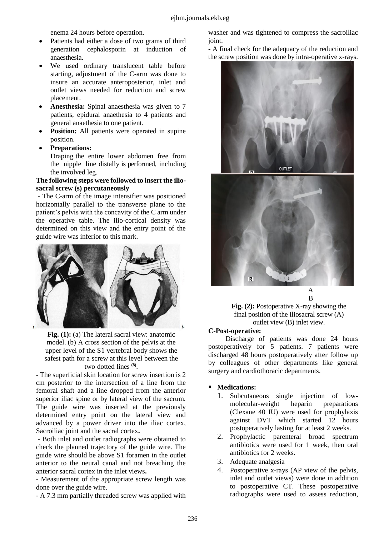enema 24 hours before operation.

- Patients had either a dose of two grams of third generation cephalosporin at induction of anaesthesia.
- We used ordinary translucent table before starting, adjustment of the C-arm was done to insure an accurate anteroposterior, inlet and outlet views needed for reduction and screw placement.
- **Anesthesia:** Spinal anaesthesia was given to 7 patients, epidural anaethesia to 4 patients and general anaethesia to one patient.
- **Position:** All patients were operated in supine position.
- **Preparations:**

Draping the entire lower abdomen free from the nipple line distally is performed, including the involved leg.

## **The following steps were followed to insert the iliosacral screw (s) percutaneously**

- The C-arm of the image intensifier was positioned horizontally parallel to the transverse plane to the patient's pelvis with the concavity of the C arm under the operative table. The ilio-cortical density was determined on this view and the entry point of the guide wire was inferior to this mark.



**Fig. (1):** (a) The lateral sacral view: anatomic model. (b) A cross section of the pelvis at the upper level of the S1 vertebral body shows the safest path for a screw at this level between the two dotted lines **(8)** .

- The superficial skin location for screw insertion is 2 cm posterior to the intersection of a line from the femoral shaft and a line dropped from the anterior superior iliac spine or by lateral view of the sacrum. The guide wire was inserted at the previously determined entry point on the lateral view and advanced by a power driver into the iliac cortex, Sacroiliac joint and the sacral cortex**.**

**-** Both inlet and outlet radiographs were obtained to check the planned trajectory of the guide wire. The guide wire should be above S1 foramen in the outlet anterior to the neural canal and not breaching the anterior sacral cortex in the inlet views**.**

- Measurement of the appropriate screw length was done over the guide wire.

- A 7.3 mm partially threaded screw was applied with

washer and was tightened to compress the sacroiliac joint.

- A final check for the adequacy of the reduction and the screw position was done by intra-operative x-rays.





A B

**Fig. (2):** Postoperative X-ray showing the final position of the Iliosacral screw (A) outlet view (B) inlet view.

### **C-Post-operative:**

Discharge of patients was done 24 hours postoperatively for 5 patients. 7 patients were discharged 48 hours postoperatively after follow up by colleagues of other departments like general surgery and cardiothoracic departments.

# **Medications:**

- 1. Subcutaneous single injection of lowmolecular-weight heparin preparations (Clexane 40 IU) were used for prophylaxis against DVT which started 12 hours postoperatively lasting for at least 2 weeks.
- 2. Prophylactic parenteral broad spectrum antibiotics were used for 1 week, then oral antibiotics for 2 weeks.
- 3. Adequate analgesia
- 4. Postoperative x-rays (AP view of the pelvis, inlet and outlet views) were done in addition to postoperative CT. These postoperative radiographs were used to assess reduction,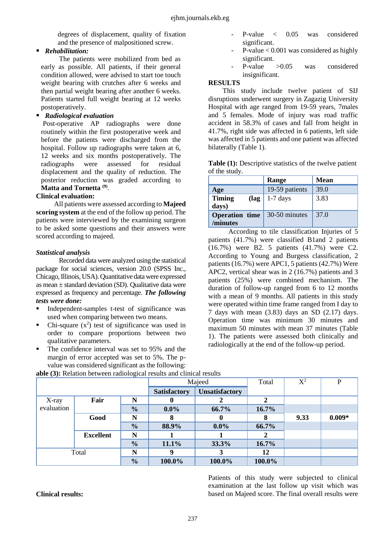degrees of displacement, quality of fixation and the presence of malpositioned screw.

# *Rehabilitation:*

The patients were mobilized from bed as early as possible. All patients, if their general condition allowed, were advised to start toe touch weight bearing with crutches after 6 weeks and then partial weight bearing after another 6 weeks. Patients started full weight bearing at 12 weeks postoperatively.

# *Radiological evaluation*

Post-operative AP radiographs were done routinely within the first postoperative week and before the patients were discharged from the hospital. Follow up radiographs were taken at 6, 12 weeks and six months postoperatively. The radiographs were assessed for residual displacement and the quality of reduction. The posterior reduction was graded according to **Matta and Tornetta (9)** .

# **Clinical evaluation:**

All patients were assessed according to **Majeed scoring system** at the end of the follow up period. The patients were interviewed by the examining surgeon to be asked some questions and their answers were scored according to majeed.

# *Statistical analysis*

Recorded data were analyzed using the statistical package for social sciences, version 20.0 (SPSS Inc., Chicago, Illinois, USA). Quantitative data were expressed as mean  $\pm$  standard deviation (SD). Qualitative data were expressed as frequency and percentage. *The following tests were done:*

- Independent-samples t-test of significance was used when comparing between two means.
- Chi-square  $(x^2)$  test of significance was used in order to compare proportions between two qualitative parameters.
- The confidence interval was set to 95% and the margin of error accepted was set to 5%. The pvalue was considered significant as the following:
- P-value < 0.05 was considered significant.
- $P-value < 0.001$  was considered as highly significant.
- P-value > 0.05 was considered insignificant.

# **RESULTS**

This study include twelve patient of SIJ disruptions underwent surgery in Zagazig University Hospital with age ranged from 19-59 years, 7males and 5 females. Mode of injury was road traffic accident in 58.3% of cases and fall from height in 41.7%, right side was affected in 6 patients, left side was affected in 5 patients and one patient was affected bilaterally (Table 1).

**Table (1):** Descriptive statistics of the twelve patient of the study.

|                                   | Range          | <b>Mean</b> |
|-----------------------------------|----------------|-------------|
| Age                               | 19-59 patients | 39.0        |
| <b>Timing</b><br>(lag<br>days)    | $1-7$ days     | 3.83        |
| <b>Operation</b> time<br>/minutes | 30-50 minutes  | 37.0        |

According to tile classification Injuries of 5 patients (41.7%) were classified B1and 2 patients (16.7%) were B2. 5 patients (41.7%) were C2. According to Young and Burgess classification, 2 patients (16.7%) were APC1, 5 patients (42.7%) Were APC2, vertical shear was in 2 (16.7%) patients and 3 patients (25%) were combined mechanism. The duration of follow-up ranged from 6 to 12 months with a mean of 9 months. All patients in this study were operated within time frame ranged from I day to 7 days with mean (3.83) days an SD (2.17) days. Operation time was minimum 30 minutes and maximum 50 minutes with mean 37 minutes (Table 1). The patients were assessed both clinically and radiologically at the end of the follow-up period.

|            |                  | Majeed        |                     | Total                 | $X^2$  | $\mathbf{P}$ |          |
|------------|------------------|---------------|---------------------|-----------------------|--------|--------------|----------|
|            |                  |               | <b>Satisfactory</b> | <b>Unsatisfactory</b> |        |              |          |
| X-ray      | Fair             |               |                     |                       |        |              |          |
| evaluation |                  | $\frac{1}{2}$ | $0.0\%$             | 66.7%                 | 16.7%  |              |          |
|            | Good             | N             | x                   | 0                     |        | 9.33         | $0.009*$ |
|            |                  | $\frac{1}{2}$ | 88.9%               | $0.0\%$               | 66.7%  |              |          |
|            | <b>Excellent</b> | N             |                     |                       |        |              |          |
|            |                  | $\frac{0}{0}$ | 11.1%               | 33.3%                 | 16.7%  |              |          |
| Total      |                  | N             | q                   |                       | 12     |              |          |
|            |                  | $\frac{0}{0}$ | 100.0%              | 100.0%                | 100.0% |              |          |

**able (3):** Relation between radiological results and clinical results

**Clinical results:**

Patients of this study were subjected to clinical examination at the last follow up visit which was based on Majeed score. The final overall results were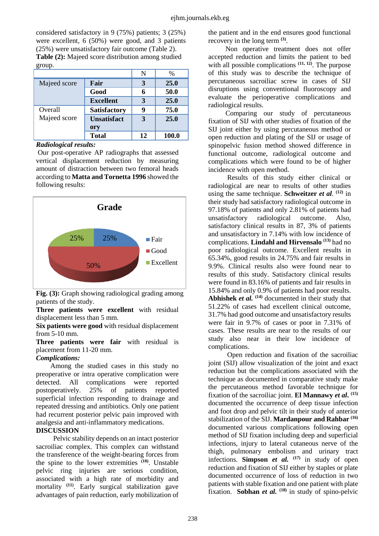considered satisfactory in 9 (75%) patients; 3 (25%) were excellent, 6 (50%) were good, and 3 patients (25%) were unsatisfactory fair outcome (Table 2). **Table (2):** Majeed score distribution among studied

group.

|              |                     | N  | $\%$  |
|--------------|---------------------|----|-------|
| Majeed score | Fair                | 3  | 25.0  |
|              | Good                |    | 50.0  |
|              | <b>Excellent</b>    | 3  | 25.0  |
| Overall      | <b>Satisfactory</b> |    | 75.0  |
| Majeed score | <b>Unsatisfact</b>  | 3  | 25.0  |
|              | ory                 |    |       |
|              | <b>Total</b>        | 12 | 100.0 |

#### *Radiological results:*

Our post-operative AP radiographs that assessed vertical displacement reduction by measuring amount of distraction between two femoral heads according to **Matta and Tornetta 1996** showed the following results:



Fig. (3): Graph showing radiological grading among patients of the study.

**Three patients were excellent** with residual displacement less than 5 mm.

**Six patients were good** with residual displacement from 5-10 mm.

**Three patients were fair** with residual is placement from 11-20 mm.

### *Complications:*

Among the studied cases in this study no preoperative or intra operative complication were detected. All complications were reported postoperatively. 25% of patients reported superficial infection responding to drainage and repeated dressing and antibiotics. Only one patient had recurrent posterior pelvic pain improved with analgesia and anti-inflammatory medications.

### **DISCUSSION**

Pelvic stability depends on an intact posterior sacroiliac complex. This complex can withstand the transference of the weight-bearing forces from the spine to the lower extremities **(10)** . Unstable pelvic ring injuries are serious condition, associated with a high rate of morbidity and mortality **(11)** . Early surgical stabilization gave advantages of pain reduction, early mobilization of

the patient and in the end ensures good functional recovery in the long term **(3)** .

Non operative treatment does not offer accepted reduction and limits the patient to bed with all possible complications <sup>(11, 12)</sup>. The purpose of this study was to describe the technique of percutaneous sacroiliac screw in cases of SIJ disruptions using conventional fluoroscopy and evaluate the perioperative complications and radiological results.

Comparing our study of percutaneous fixation of SIJ with other studies of fixation of the SIJ joint either by using percutaneous method or open reduction and plating of the SIJ or usage of spinopelvic fusion method showed difference in functional outcome, radiological outcome and complications which were found to be of higher incidence with open method.

Results of this study either clinical or radiological are near to results of other studies using the same technique. **Schweitzer** *et al.* **(12)** in their study had satisfactory radiological outcome in 97.18% of patients and only 2.81% of patients had unsatisfactory radiological outcome. Also, satisfactory clinical results in 87, 3% of patients and unsatisfactory in 7.14% with low incidence of complications. **Lindahl and Hirvensalo (13)** had no poor radiological outcome. Excellent results in 65.34%, good results in 24.75% and fair results in 9.9%. Clinical results also were found near to results of this study. Satisfactory clinical results were found in 83.16% of patients and fair results in 15.84% and only 0.9% of patients had poor results. **Abhishek** *et al.* **(14)** documented in their study that 51.22% of cases had excellent clinical outcome, 31.7% had good outcome and unsatisfactory results were fair in 9.7% of cases or poor in 7.31% of cases. These results are near to the results of our study also near in their low incidence of complications.

Open reduction and fixation of the sacroiliac joint (SIJ) allow visualization of the joint and exact reduction but the complications associated with the technique as documented in comparative study make the percutaneous method favorable technique for fixation of the sacroiliac joint. **El Mannawy** *et al***. (15)** documented the occurrence of deep tissue infection and foot drop and pelvic tilt in their study of anterior stabilization of the SIJ. **Mardanpour and Rahbar (16)** documented various complications following open method of SIJ fixation including deep and superficial infections, injury to lateral cutaneous nerve of the thigh, pulmonary embolism and urinary tract infections. **Simpson** *et al.*  $(17)$  in study of open reduction and fixation of SIJ either by staples or plate documented occurrence of loss of reduction in two patients with stable fixation and one patient with plate fixation. **Sobhan** *et al.* **(18)** in study of spino-pelvic